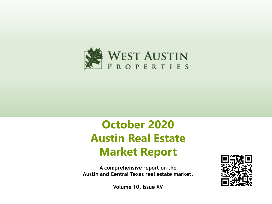

# **October 2020 Austin Real Estate Market Report**

**A comprehensive report on the Austin and Central Texas real estate market.**



**Volume 10, Issue XV**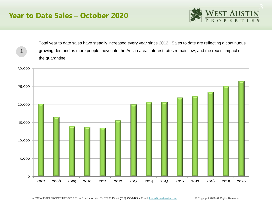#### **Year to Date Sales – October 2020**

1



Total year to date sales have steadily increased every year since 2012 . Sales to date are reflecting a continuous growing demand as more people move into the Austin area, interest rates remain low, and the recent impact of the quarantine.

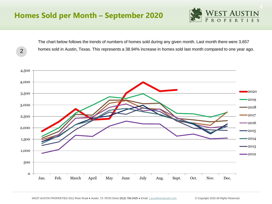### **Homes Sold per Month – September 2020**

2



The chart below follows the trends of numbers of homes sold during any given month. Last month there were 3,657 homes sold in Austin, Texas. This represents a 38.94% increase in homes sold last month compared to one year ago.

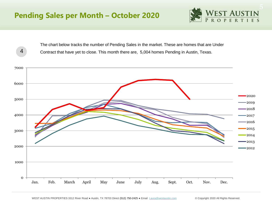

The chart below tracks the number of Pending Sales in the market. These are homes that are Under Contract that have yet to close. This month there are, 5,004 homes Pending in Austin, Texas.

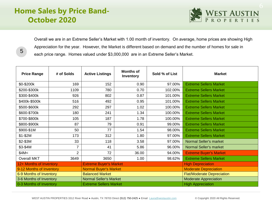# **Home Sales by Price Band-October 2020**

5



Overall we are in an Extreme Seller's Market with 1.00 month of inventory. On average, home prices are showing High Appreciation for the year. However, the Market is different based on demand and the number of homes for sale in each price range. Homes valued under \$3,000,000 are in an Extreme Seller's Market.

| <b>Price Range</b>       | # of Solds | <b>Active Listings</b>        | <b>Months of</b><br>Inventory | Sold % of List               | <b>Market</b>                     |  |
|--------------------------|------------|-------------------------------|-------------------------------|------------------------------|-----------------------------------|--|
| \$0-\$200k               | 169        | 152                           | 0.90                          | 97.00%                       | <b>Extreme Sellers Market</b>     |  |
| \$200-\$300k             | 1109       | 780                           | 0.70                          | 102.00%                      | <b>Extreme Sellers Market</b>     |  |
| \$300-\$400k             | 926        | 802                           | 0.87                          | 101.00%                      | <b>Extreme Sellers Market</b>     |  |
| \$400k-\$500k            | 516        | 492                           | 0.95                          | 101.00%                      | <b>Extreme Sellers Market</b>     |  |
| \$500-\$600k             | 292        | 297                           | 1.02                          | 100.00%                      | <b>Extreme Sellers Market</b>     |  |
| \$600-\$700k             | 180        | 241                           | 1.34                          | 100.00%                      | <b>Extreme Sellers Market</b>     |  |
| \$700-\$800k             | 105        | 187                           | 1.78                          | 100.00%                      | <b>Extreme Sellers Market</b>     |  |
| \$800-\$900k             | 87         | 79                            | 0.91                          | 99.00%                       | <b>Extreme Sellers Market</b>     |  |
| \$900-\$1M               | 50         | 77                            | 1.54                          | 98.00%                       | <b>Extreme Sellers Market</b>     |  |
| $$1-$2M$                 | 173        | 312                           | 1.80                          | 97.00%                       | <b>Extreme Sellers Market</b>     |  |
| \$2-\$3M                 | 33         | 118                           | 3.58                          | 97.00%                       | <b>Normal Seller's market</b>     |  |
| \$3-\$4M                 | 7          | 41                            | 5.86                          | 96.00%                       | <b>Normal Seller's market</b>     |  |
| \$4M<                    | 2          | 72                            | 36.00                         | 94.00%                       | <b>Extreme Buyer's Market</b>     |  |
| <b>Overall MKT</b>       | 3649       | 3650                          | 1.00                          | 98.62%                       | <b>Extreme Sellers Market</b>     |  |
| 12+ Months of Inventory  |            | <b>Extreme Buyer's Market</b> |                               |                              | <b>High Depreciation</b>          |  |
| 9-12 Months of Inventory |            | <b>Normal Buyer's Market</b>  |                               |                              | <b>Moderate Depreciation</b>      |  |
| 6-9 Months of Inventory  |            | <b>Balanced Market</b>        |                               |                              | <b>Flat/Moderate Depreciation</b> |  |
| 3-6 Months of Inventory  |            | <b>Normal Seller's Market</b> |                               | <b>Moderate Appreciation</b> |                                   |  |
| 0-3 Months of Inventory  |            | <b>Extreme Sellers Market</b> |                               | <b>High Appreciation</b>     |                                   |  |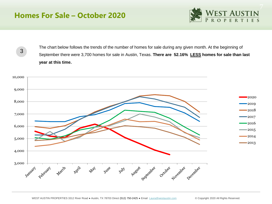### **Homes For Sale – October 2020**



3

The chart below follows the trends of the number of homes for sale during any given month. At the beginning of September there were 3,700 homes for sale in Austin, Texas. **There are 52.16% LESS homes for sale than last year at this time.** 

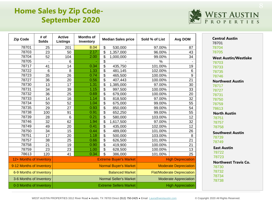# **Home Sales by Zip Code-September 2020**



| <b>Zip Code</b>          | # of<br><b>Solds</b> | <b>Active</b><br>Listings     | <b>Months of</b><br>Inventory | <b>Median Sales price</b>     | Sold % of List               | <b>Avg DOM</b>                    |  |
|--------------------------|----------------------|-------------------------------|-------------------------------|-------------------------------|------------------------------|-----------------------------------|--|
| 78701                    | 25                   | 201                           | 8.04                          | \$<br>530,000                 | 97.00%                       | 87                                |  |
| 78703                    | 23                   | 50                            | 2.17                          | \$<br>1,357,000               | 96.00%                       | 43                                |  |
| 78704                    | 52                   | 104                           | 2.00                          | \$<br>1,000,000               | 99.00%                       | 34                                |  |
| 78705                    |                      | 6                             |                               | \$                            | %                            |                                   |  |
| 78717                    | 41                   | 14                            | 0.34                          | \$<br>435,750                 | 101.00%                      | 19                                |  |
| 78722                    | 6                    | 8                             | 1.33                          | \$<br>481,145                 | 102.00%                      | 6                                 |  |
| 78723                    | 35                   | 26                            | 0.74                          | \$<br>465,500                 | 100.00%                      | 9                                 |  |
| 78727                    | 36                   | 20                            | 0.56                          | \$<br>407,443                 | 100.00%                      | 21                                |  |
| 78730                    | 13                   | 17                            | 1.31                          | \$<br>1,385,000               | 97.00%                       | 30                                |  |
| 78731                    | 34                   | 39                            | 1.15                          | \$<br>997,500                 | 100.00%                      | 33                                |  |
| 78732                    | 36                   | 25                            | 0.69                          | \$<br>679,000                 | 100.00%                      | 20                                |  |
| 78733                    | 14                   | 16                            | 1.14                          | \$<br>818,500                 | 97.00%                       | 32                                |  |
| 78734                    | 50                   | 52                            | 1.04                          | \$<br>675,000                 | 99.00%                       | 55                                |  |
| 78735                    | 29                   | 27                            | 0.93                          | \$<br>850,000                 | 99.00%                       | 54                                |  |
| 78738                    | 100                  | 91                            | 0.91                          | \$<br>652,250                 | 99.00%                       | 55                                |  |
| 78739                    | 28                   | 6                             | 0.21                          | \$<br>580,000                 | 103.00%                      | 12                                |  |
| 78746                    | 32                   | 62                            | 1.94                          | \$<br>1,617,500               | 97.00%                       | 32                                |  |
| 78749                    | 49                   | 20                            | 0.41                          | \$<br>435,000                 | 102.00%                      | 12                                |  |
| 78750                    | 34                   | 15                            | 0.44                          | \$<br>489,000                 | 101.00%                      | 26                                |  |
| 78751                    | 17                   | 20                            | 1.18                          | \$<br>500,000                 | 103.00%                      | 8                                 |  |
| 78757                    | 38                   | 25                            | 0.66                          | \$<br>626,500                 | 101.00%                      | 21                                |  |
| 78758                    | 21                   | 19                            | 0.90                          | \$<br>419,900                 | 100.00%                      | 21                                |  |
| 78759                    | 23                   | 23                            | 1.00                          | \$<br>628,500                 | 100.00%                      | 13                                |  |
| 78613                    | 120                  | 41                            | 0.34                          | \$<br>386,000                 | 101.00%                      | 25                                |  |
| 12+ Months of Inventory  |                      |                               |                               | <b>Extreme Buyer's Market</b> | <b>High Depreciation</b>     |                                   |  |
| 9-12 Months of Inventory |                      | <b>Normal Buyer's Market</b>  |                               |                               | <b>Moderate Depreciation</b> |                                   |  |
| 6-9 Months of Inventory  |                      |                               | <b>Balanced Market</b>        |                               |                              | <b>Flat/Moderate Depreciation</b> |  |
| 3-6 Months of Inventory  |                      | <b>Normal Seller's Market</b> |                               |                               | <b>Moderate Appreciation</b> |                                   |  |
| 0-3 Months of Inventory  |                      | <b>Extreme Sellers Market</b> |                               |                               | <b>High Appreciation</b>     |                                   |  |

WEST AUSTIN PROPERTIES 3312 River Road · Austin, TX 78703 Direct (512) 750-2425 · Email [Laura@westaustin.com](mailto:Laura@westaustin.com) © Copyright 2020 All Rights Reserved.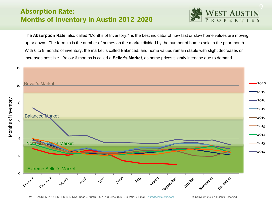#### **Absorption Rate: Months of Inventory in Austin 2012-2020**



The **Absorption Rate**, also called "Months of Inventory," is the best indicator of how fast or slow home values are moving up or down. The formula is the number of homes on the market divided by the number of homes sold in the prior month. With 6 to 9 months of inventory, the market is called Balanced, and home values remain stable with slight decreases or increases possible. Below 6 months is called a **Seller's Market**, as home prices slightly increase due to demand.

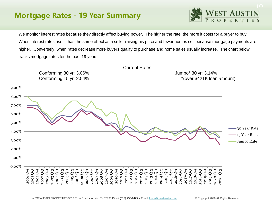# **Mortgage Rates - 19 Year Summary**



We monitor interest rates because they directly affect buying power. The higher the rate, the more it costs for a buyer to buy. When interest rates rise, it has the same effect as a seller raising his price and fewer homes sell because mortgage payments are higher. Conversely, when rates decrease more buyers qualify to purchase and home sales usually increase. The chart below tracks mortgage rates for the past 19 years.

Current Rates



WEST AUSTIN PROPERTIES 3312 River Road · Austin, TX 78703 Direct (512) 750-2425 · Email [Laura@westaustin.com](mailto:Laura@westaustin.com) © Copyright 2020 All Rights Reserved.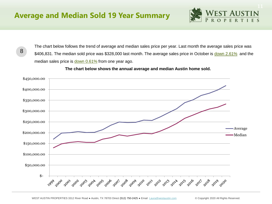8



The chart below follows the trend of average and median sales price per year. Last month the average sales price was \$406,831. The median sold price was \$328,000 last month. The average sales price in October is down 2.61% and the median sales price is down 0.61% from one year ago.

**The chart below shows the annual average and median Austin home sold.** 

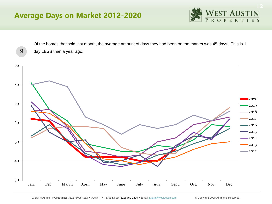# **Average Days on Market 2012-2020**



Of the homes that sold last month, the average amount of days they had been on the market was 45 days. This is 1 day LESS than a year ago.